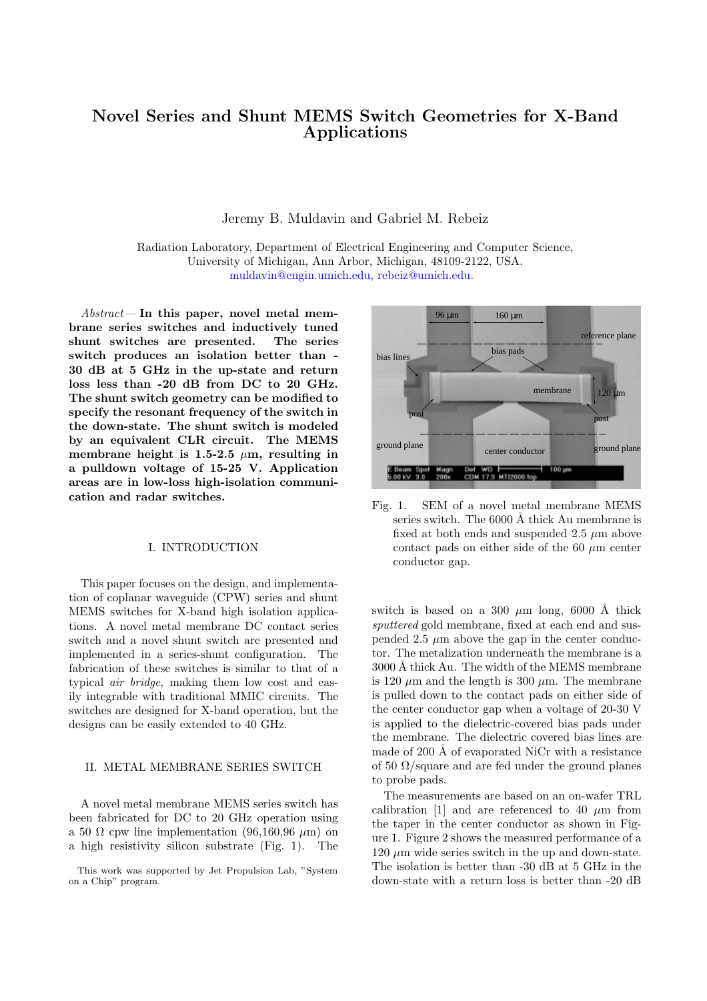# **Novel Series and Shunt MEMS Switch Geometries for X-Band Applications**

Jeremy B. Muldavin and Gabriel M. Rebeiz

Radiation Laboratory, Department of Electrical Engineering and Computer Science, University of Michigan, Ann Arbor, Michigan, 48109-2122, USA. [muldavin@engin.umich.edu,](mailto:muldavin@engin.umich.edu) [rebeiz@umich.edu.](mailto:rebeiz@umich.edu)

Abstract— **In this paper, novel metal membrane series switches and inductively tuned shunt switches are presented. The series switch produces an isolation better than - 30 dB at 5 GHz in the up-state and return loss less than -20 dB from DC to 20 GHz. The shunt switch geometry can be modified to specify the resonant frequency of the switch in the down-state. The shunt switch is modeled by an equivalent CLR circuit. The MEMS** membrane height is 1.5-2.5  $\mu$ m, resulting in **a pulldown voltage of 15-25 V. Application areas are in low-loss high-isolation communication and radar switches.**

### I. INTRODUCTION

This paper focuses on the design, and implementation of coplanar waveguide (CPW) series and shunt MEMS switches for X-band high isolation applications. A novel metal membrane DC contact series switch and a novel shunt switch are presented and implemented in a series-shunt configuration. The fabrication of these switches is similar to that of a typical air bridge, making them low cost and easily integrable with traditional MMIC circuits. The switches are designed for X-band operation, but the designs can be easily extended to 40 GHz.

## II. METAL MEMBRANE SERIES SWITCH

A novel metal membrane MEMS series switch has been fabricated for DC to 20 GHz operation using a 50  $\Omega$  cpw line implementation (96,160,96  $\mu$ m) on a high resistivity silicon substrate (Fig. 1). The



Fig. 1. SEM of a novel metal membrane MEMS series switch. The  $6000 \text{ Å}$  thick Au membrane is fixed at both ends and suspended  $2.5 \mu m$  above contact pads on either side of the 60  $\mu$ m center conductor gap.

switch is based on a 300  $\mu$ m long, 6000 Å thick sputtered gold membrane, fixed at each end and suspended 2.5  $\mu$ m above the gap in the center conductor. The metalization underneath the membrane is a 3000 Å thick Au. The width of the MEMS membrane is 120  $\mu$ m and the length is 300  $\mu$ m. The membrane is pulled down to the contact pads on either side of the center conductor gap when a voltage of 20-30 V is applied to the dielectric-covered bias pads under the membrane. The dielectric covered bias lines are made of 200  $\AA$  of evaporated NiCr with a resistance of 50  $\Omega$ /square and are fed under the ground planes to probe pads.

The measurements are based on an on-wafer TRL calibration [1] and are referenced to 40  $\mu$ m from the taper in the center conductor as shown in Figure 1. Figure 2 shows the measured performance of a  $120 \mu m$  wide series switch in the up and down-state. The isolation is better than -30 dB at 5 GHz in the down-state with a return loss is better than -20 dB

This work was supported by Jet Propulsion Lab, "System on a Chip" program.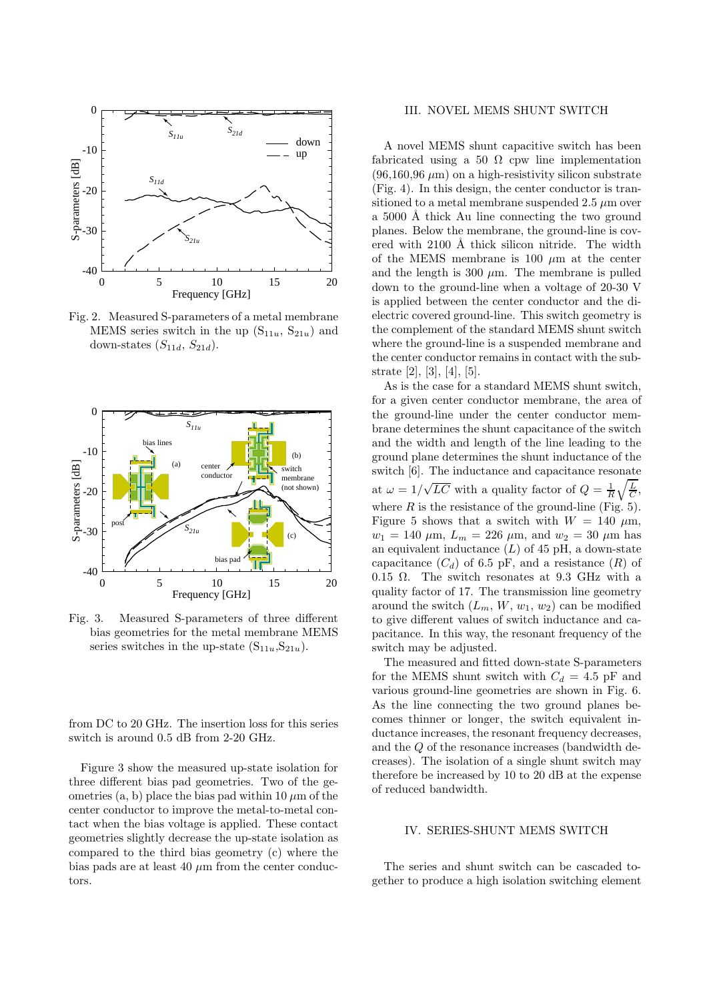

Fig. 2. Measured S-parameters of a metal membrane MEMS series switch in the up  $(S_{11u}, S_{21u})$  and down-states  $(S_{11d}, S_{21d})$ .



Fig. 3. Measured S-parameters of three different bias geometries for the metal membrane MEMS series switches in the up-state  $(S_{11u},S_{21u})$ .

from DC to 20 GHz. The insertion loss for this series switch is around 0.5 dB from 2-20 GHz.

Figure 3 show the measured up-state isolation for three different bias pad geometries. Two of the geometries  $(a, b)$  place the bias pad within 10  $\mu$ m of the center conductor to improve the metal-to-metal contact when the bias voltage is applied. These contact geometries slightly decrease the up-state isolation as compared to the third bias geometry (c) where the bias pads are at least 40  $\mu$ m from the center conductors.

## III. NOVEL MEMS SHUNT SWITCH

A novel MEMS shunt capacitive switch has been fabricated using a 50  $\Omega$  cpw line implementation  $(96,160,96 \,\mu m)$  on a high-resistivity silicon substrate (Fig. 4). In this design, the center conductor is transitioned to a metal membrane suspended  $2.5 \mu m$  over a 5000 Å thick Au line connecting the two ground planes. Below the membrane, the ground-line is covered with  $2100 \text{ Å}$  thick silicon nitride. The width of the MEMS membrane is 100  $\mu$ m at the center and the length is 300  $\mu$ m. The membrane is pulled down to the ground-line when a voltage of 20-30 V is applied between the center conductor and the dielectric covered ground-line. This switch geometry is the complement of the standard MEMS shunt switch where the ground-line is a suspended membrane and the center conductor remains in contact with the substrate [2], [3], [4], [5].

As is the case for a standard MEMS shunt switch, for a given center conductor membrane, the area of the ground-line under the center conductor membrane determines the shunt capacitance of the switch and the width and length of the line leading to the ground plane determines the shunt inductance of the switch [6]. The inductance and capacitance resonate at  $\omega = 1/\sqrt{LC}$  with a quality factor of  $Q = \frac{1}{R}\sqrt{\frac{L}{C}}$ , where  $R$  is the resistance of the ground-line (Fig. 5). Figure 5 shows that a switch with  $W = 140 \mu m$ ,  $w_1 = 140 \ \mu \text{m}, L_m = 226 \ \mu \text{m}, \text{ and } w_2 = 30 \ \mu \text{m} \text{ has}$ an equivalent inductance  $(L)$  of 45 pH, a down-state capacitance  $(C_d)$  of 6.5 pF, and a resistance  $(R)$  of 0.15  $\Omega$ . The switch resonates at 9.3 GHz with a quality factor of 17. The transmission line geometry around the switch  $(L_m, W, w_1, w_2)$  can be modified to give different values of switch inductance and capacitance. In this way, the resonant frequency of the switch may be adjusted.

The measured and fitted down-state S-parameters for the MEMS shunt switch with  $C_d = 4.5$  pF and various ground-line geometries are shown in Fig. 6. As the line connecting the two ground planes becomes thinner or longer, the switch equivalent inductance increases, the resonant frequency decreases, and the Q of the resonance increases (bandwidth decreases). The isolation of a single shunt switch may therefore be increased by 10 to 20 dB at the expense of reduced bandwidth.

#### IV. SERIES-SHUNT MEMS SWITCH

The series and shunt switch can be cascaded together to produce a high isolation switching element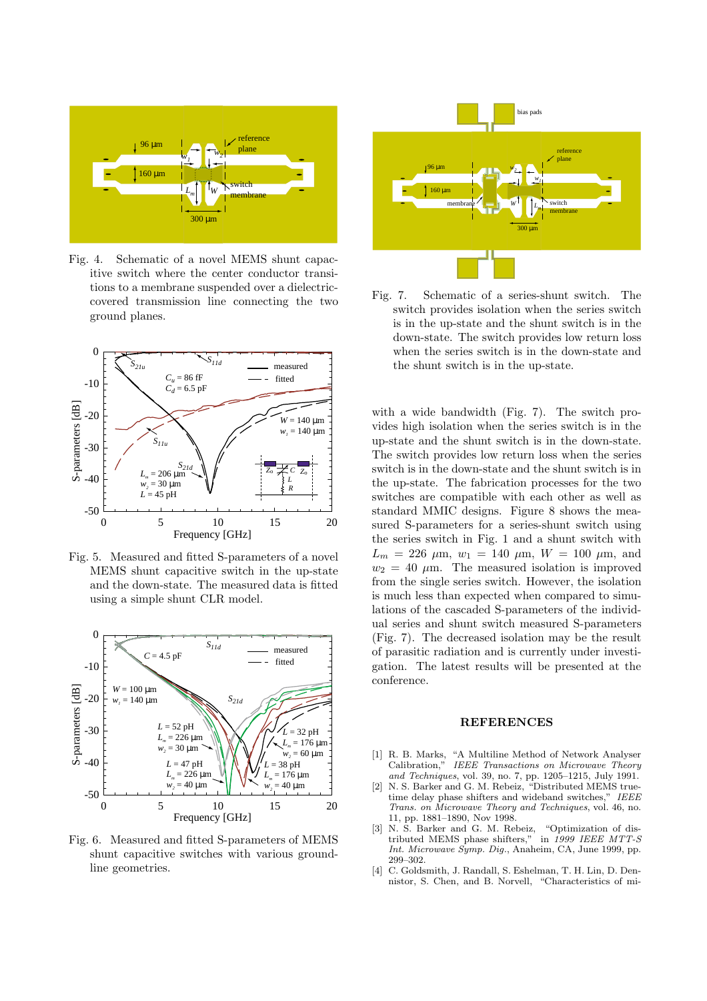

Fig. 4. Schematic of a novel MEMS shunt capacitive switch where the center conductor transitions to a membrane suspended over a dielectriccovered transmission line connecting the two ground planes.



Fig. 5. Measured and fitted S-parameters of a novel MEMS shunt capacitive switch in the up-state and the down-state. The measured data is fitted using a simple shunt CLR model.



Fig. 6. Measured and fitted S-parameters of MEMS shunt capacitive switches with various groundline geometries.



Fig. 7. Schematic of a series-shunt switch. The switch provides isolation when the series switch is in the up-state and the shunt switch is in the down-state. The switch provides low return loss when the series switch is in the down-state and the shunt switch is in the up-state.

with a wide bandwidth (Fig. 7). The switch provides high isolation when the series switch is in the up-state and the shunt switch is in the down-state. The switch provides low return loss when the series switch is in the down-state and the shunt switch is in the up-state. The fabrication processes for the two switches are compatible with each other as well as standard MMIC designs. Figure 8 shows the measured S-parameters for a series-shunt switch using the series switch in Fig. 1 and a shunt switch with  $L_m = 226 \mu \text{m}, w_1 = 140 \mu \text{m}, W = 100 \mu \text{m}, \text{and}$  $w_2 = 40 \mu m$ . The measured isolation is improved from the single series switch. However, the isolation is much less than expected when compared to simulations of the cascaded S-parameters of the individual series and shunt switch measured S-parameters (Fig. 7). The decreased isolation may be the result of parasitic radiation and is currently under investigation. The latest results will be presented at the conference.

#### **REFERENCES**

- [1] R. B. Marks, "A Multiline Method of Network Analyser IEEE Transactions on Microwave Theory and Techniques, vol. 39, no. 7, pp. 1205–1215, July 1991.
- [2] N. S. Barker and G. M. Rebeiz, "Distributed MEMS truetime delay phase shifters and wideband switches," IEEE Trans. on Microwave Theory and Techniques, vol. 46, no. 11, pp. 1881–1890, Nov 1998.
- [3] N. S. Barker and G. M. Rebeiz, "Optimization of distributed MEMS phase shifters," in 1999 IEEE MTT-S Int. Microwave Symp. Dig., Anaheim, CA, June 1999, pp. 299–302.
- [4] C. Goldsmith, J. Randall, S. Eshelman, T. H. Lin, D. Dennistor, S. Chen, and B. Norvell, "Characteristics of mi-